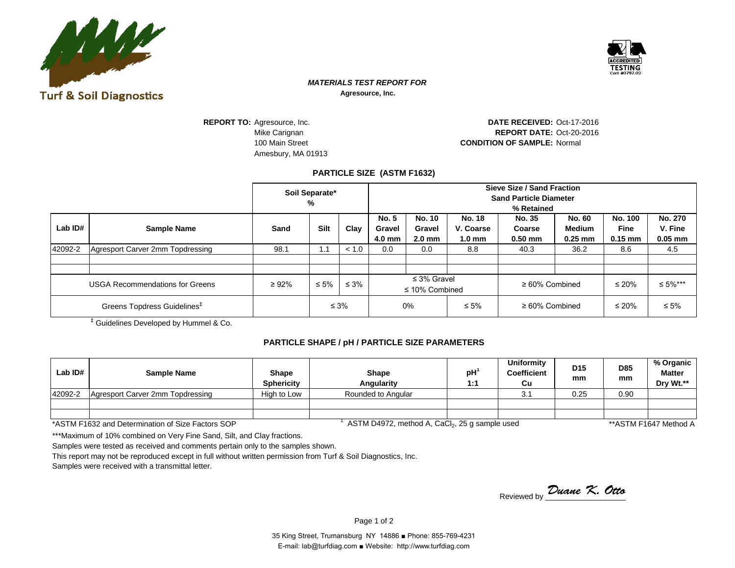



## *MATERIALS TEST REPORT FOR* **Agresource, Inc.**

**REPORT TO:** Agresource, Inc. Amesbury, MA 01913

Mike Carignan **REPORT DATE:** Oct-20-2016 100 Main Street **CONDITION OF SAMPLE:** Normal DATE RECEIVED: Oct-17-2016

## **PARTICLE SIZE (ASTM F1632)**

|                                         |                                  | Soil Separate*<br>% |            |            | Sieve Size / Sand Fraction<br><b>Sand Particle Diameter</b><br>% Retained |                                             |                                                |                                      |                                      |                                            |                                 |
|-----------------------------------------|----------------------------------|---------------------|------------|------------|---------------------------------------------------------------------------|---------------------------------------------|------------------------------------------------|--------------------------------------|--------------------------------------|--------------------------------------------|---------------------------------|
| Lab $ID#$                               | Sample Name                      | Sand                | Silt       | Clay       | <b>No. 5</b><br>Gravel<br>4.0 mm                                          | <b>No. 10</b><br>Gravel<br>$2.0 \text{ mm}$ | <b>No. 18</b><br>V. Coarse<br>$1.0 \text{ mm}$ | <b>No. 35</b><br>Coarse<br>$0.50$ mm | No. 60<br><b>Medium</b><br>$0.25$ mm | <b>No. 100</b><br><b>Fine</b><br>$0.15$ mm | No. 270<br>V. Fine<br>$0.05$ mm |
| 42092-2                                 | Agresport Carver 2mm Topdressing | 98.1                | 1.1        | < 1.0      | 0.0                                                                       | 0.0                                         | 8.8                                            | 40.3                                 | 36.2                                 | 8.6                                        | 4.5                             |
| <b>USGA Recommendations for Greens</b>  |                                  | $\geq 92\%$         | $\leq 5\%$ | $\leq 3\%$ | $\leq$ 3% Gravel<br>$\leq$ 10% Combined                                   |                                             | $\geq 60\%$ Combined                           |                                      | $\leq 20\%$                          | ≤ 5%***                                    |                                 |
| Greens Topdress Guidelines <sup>#</sup> |                                  |                     | $\leq 3\%$ |            |                                                                           | 0%<br>$\leq 5\%$                            |                                                | $\geq 60\%$ Combined                 |                                      | $\leq 20\%$                                | $\leq 5\%$                      |

‡ Guidelines Developed by Hummel & Co.

## **PARTICLE SHAPE / pH / PARTICLE SIZE PARAMETERS**

| Lab $ID#$                                                                         | Sample Name                                                                         | Shape<br><b>Sphericity</b> | Shape<br>Angularity | pH<br>$4 - 4$ | Uniformity<br><b>Coefficient</b><br>Cu | D <sub>15</sub><br>mm | <b>D85</b><br>mm | % Organic<br><b>Matter</b><br>Drv Wt.** |
|-----------------------------------------------------------------------------------|-------------------------------------------------------------------------------------|----------------------------|---------------------|---------------|----------------------------------------|-----------------------|------------------|-----------------------------------------|
| 42092-2                                                                           | Agresport Carver 2mm Topdressing                                                    | High to Low                | Rounded to Angular  |               | 3.1                                    | 0.25                  | 0.90             |                                         |
|                                                                                   |                                                                                     |                            |                     |               |                                        |                       |                  |                                         |
|                                                                                   |                                                                                     |                            |                     |               |                                        |                       |                  |                                         |
| $\lambda$ A $\lambda$ $\lambda$ $\lambda$ $\lambda$ $\lambda$ $\lambda$ $\lambda$ | $\mathbf{A} \mathbf{A} \mathbf{B}$<br>$\sim$ $\sim$<br><u>. на села с</u><br>$\sim$ |                            |                     |               |                                        |                       |                  |                                         |

\*ASTM F1632 and Determination of Size Factors SOP <sup>1</sup>

ASTM D4972, method A, CaCl<sub>2</sub>, 25 g sample used

\*\* ASTM F1647 Method A

\*\*\*Maximum of 10% combined on Very Fine Sand, Silt, and Clay fractions.

Samples were tested as received and comments pertain only to the samples shown.

This report may not be reproduced except in full without written permission from Turf & Soil Diagnostics, Inc.

Samples were received with a transmittal letter.

Reviewed by *Duane K. Otto*